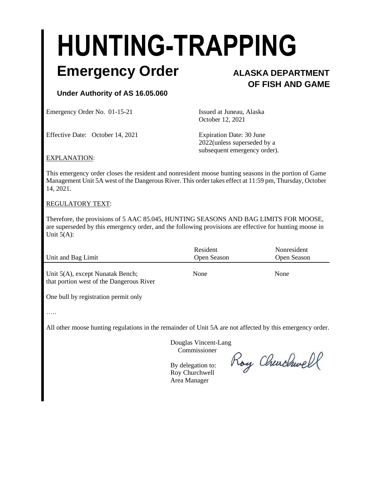# **HUNTING-TRAPPING**

### **Emergency Order ALASKA DEPARTMENT**

## **OF FISH AND GAME**

#### **Under Authority of AS 16.05.060**

Emergency Order No. 01-15-21 Issued at Juneau, Alaska

October 12, 2021 Effective Date: October 14, 2021 Expiration Date: 30 June 2022(unless superseded by a

subsequent emergency order).

EXPLANATION:

This emergency order closes the resident and nonresident moose hunting seasons in the portion of Game Management Unit 5A west of the Dangerous River. This order takes effect at 11:59 pm, Thursday, October 14, 2021.

#### REGULATORY TEXT:

Therefore, the provisions of 5 AAC 85.045, HUNTING SEASONS AND BAG LIMITS FOR MOOSE, are superseded by this emergency order, and the following provisions are effective for hunting moose in Unit 5(A):

| Unit and Bag Limit                                                           | Resident<br>Open Season | Nonresident<br>Open Season |
|------------------------------------------------------------------------------|-------------------------|----------------------------|
| Unit 5(A), except Nunatak Bench;<br>that portion west of the Dangerous River | None                    | None                       |

One bull by registration permit only

…..

All other moose hunting regulations in the remainder of Unit 5A are not affected by this emergency order.

 Douglas Vincent-Lang Commissioner

Roy Churchwell

 By delegation to: Roy Churchwell Area Manager